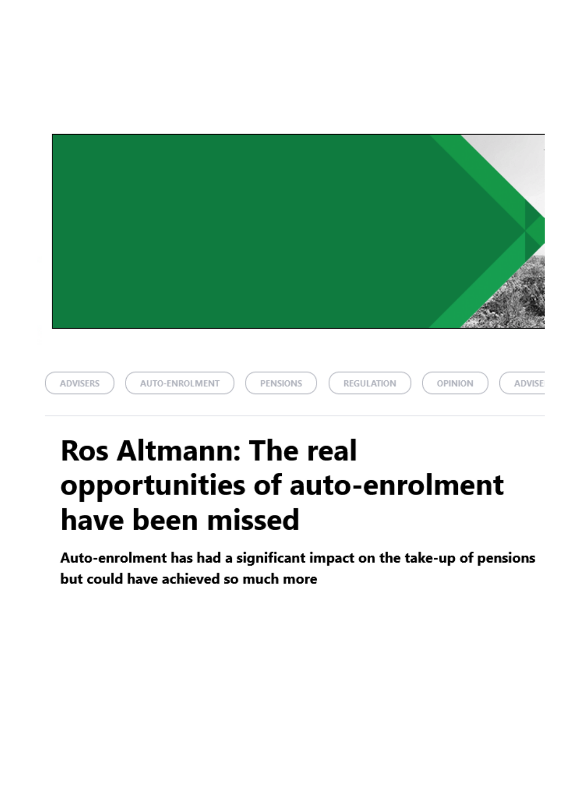| ADVISERS<br>AUTO-ENROLMENT<br>PENSIONS<br>REGULATION<br>OPINION<br>ADVISE |
|---------------------------------------------------------------------------|

## Ros Altmann: The real opportunities of auto-enrolment have been missed

Auto-enrolment has had a significant impact on the take-up of pensions but could have achieved so much more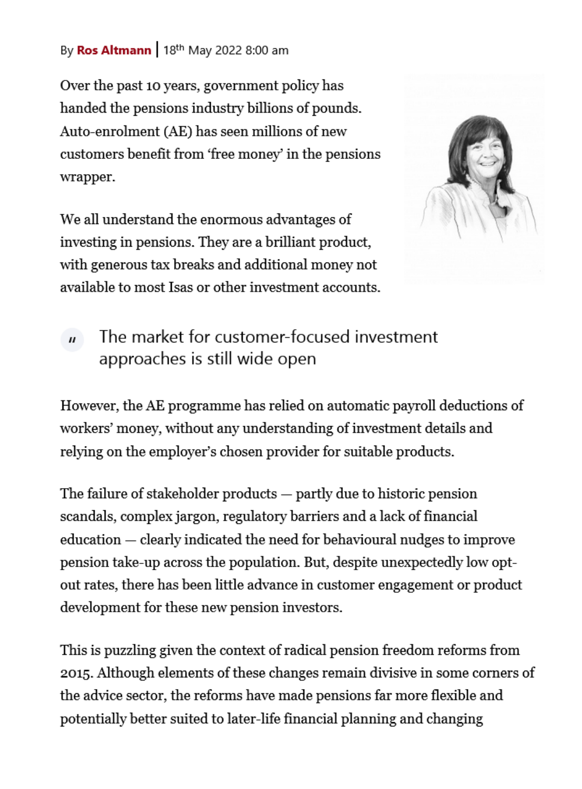By [Ros Altmann](https://www.moneymarketing.co.uk/author/ros-altmann/) | 18<sup>th</sup> May 2022 8:00 am

Over the past 10 years, government policy has handed the pensions industry billions of pounds. Auto-enrolment (AE) has seen millions of new customers benefit from 'free money' in the pensions wrapper.

We all understand the enormous advantages of investing in pensions. They are a brilliant product, with generous tax breaks and additional money not available to most Isas or other investment accounts.



The market for customer-focused investment  $\mathbf{u}$ approaches is still wide open

However, the AE programme has relied on automatic payroll deductions of workers' money, without any understanding of investment details and relying on the employer's chosen provider for suitable products.

The failure of stakeholder products — partly due to historic pension scandals, complex jargon, regulatory barriers and a lack of financial education — clearly indicated the need for behavioural nudges to improve pension take-up across the population. But, despite unexpectedly low optout rates, there has been little advance in customer engagement or product development for these new pension investors.

This is puzzling given the context of radical pension freedom reforms from 2015. Although elements of these changes remain divisive in some corners of the advice sector, the reforms have made pensions far more flexible and potentially better suited to later-life financial planning and changing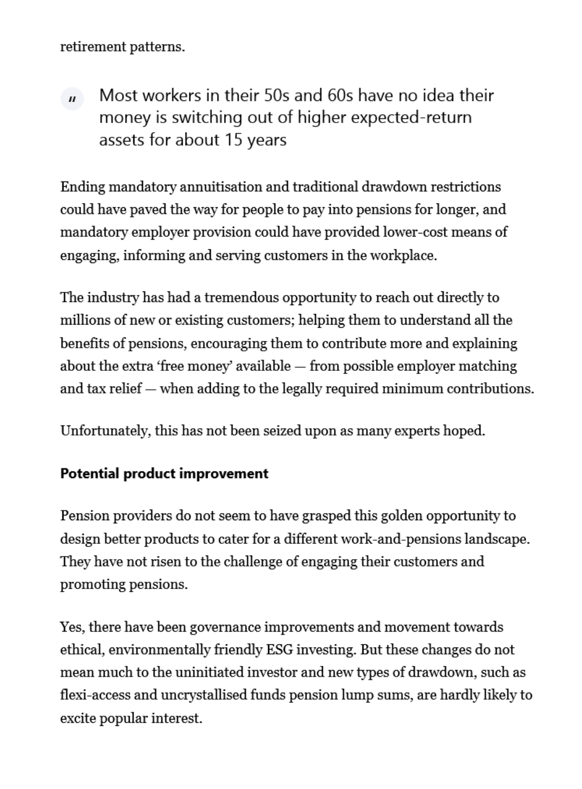retirement patterns.

Most workers in their 50s and 60s have no idea their  $\mathbf{u}$ money is switching out of higher expected-return assets for about 15 years

Ending mandatory annuitisation and traditional drawdown restrictions could have paved the way for people to pay into pensions for longer, and mandatory employer provision could have provided lower-cost means of engaging, informing and serving customers in the workplace.

The industry has had a tremendous opportunity to reach out directly to millions of new or existing customers; helping them to understand all the benefits of pensions, encouraging them to contribute more and explaining about the extra 'free money' available — from possible employer matching and tax relief — when adding to the legally required minimum contributions.

Unfortunately, this has not been seized upon as many experts hoped.

## Potential product improvement

Pension providers do not seem to have grasped this golden opportunity to design better products to cater for a different work-and-pensions landscape. They have not risen to the challenge of engaging their customers and promoting pensions.

Yes, there have been governance improvements and movement towards ethical, environmentally friendly ESG investing. But these changes do not mean much to the uninitiated investor and new types of drawdown, such as flexi-access and uncrystallised funds pension lump sums, are hardly likely to excite popular interest.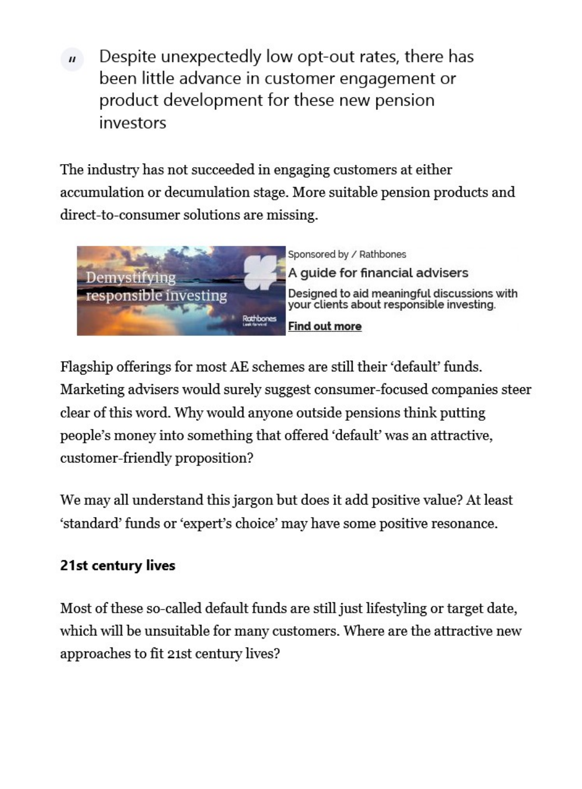Despite unexpectedly low opt-out rates, there has  $\boldsymbol{H}$ been little advance in customer engagement or product development for these new pension investors

The industry has not succeeded in engaging customers at either accumulation or decumulation stage. More suitable pension products and direct-to-consumer solutions are missing.



Sponsored by / Rathbones A quide for financial advisers Designed to aid meaningful discussions with<br>your clients about responsible investing. **Find out more** 

Flagship offerings for most AE schemes are still their 'default' funds. Marketing advisers would surely suggest consumer-focused companies steer clear of this word. Why would anyone outside pensions think putting people's money into something that offered 'default' was an attractive, customer-friendly proposition?

We may all understand this jargon but does it add positive value? At least 'standard' funds or 'expert's choice' may have some positive resonance.

## 21st century lives

Most of these so-called default funds are still just lifestyling or target date, which will be unsuitable for many customers. Where are the attractive new approaches to fit 21st century lives?